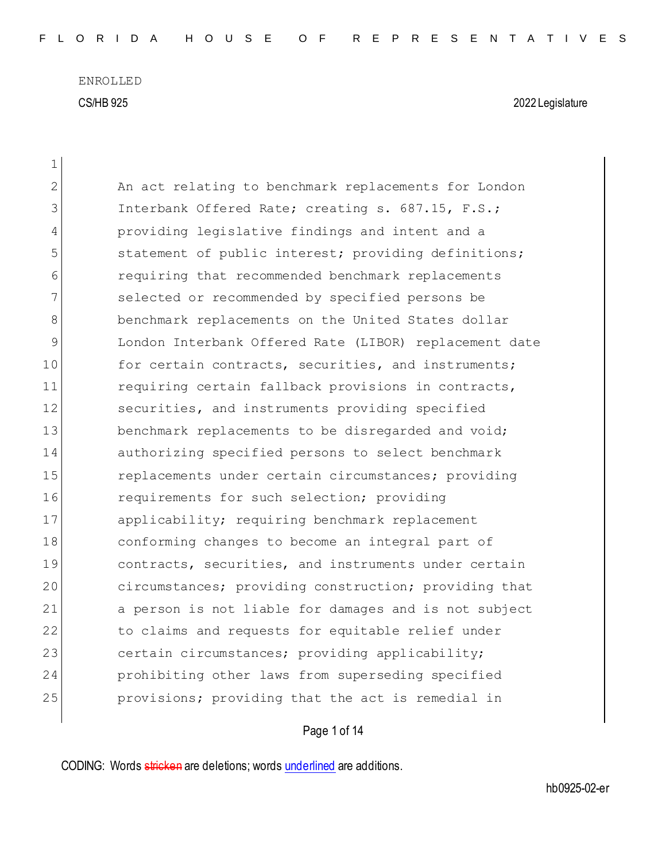ENROLLED CS/HB 925 2022 Legislature

 $\overline{\phantom{a}}$ 

| 1  |                                                        |
|----|--------------------------------------------------------|
| 2  | An act relating to benchmark replacements for London   |
| 3  | Interbank Offered Rate; creating s. 687.15, F.S.;      |
| 4  | providing legislative findings and intent and a        |
| 5  | statement of public interest; providing definitions;   |
| 6  | requiring that recommended benchmark replacements      |
| 7  | selected or recommended by specified persons be        |
| 8  | benchmark replacements on the United States dollar     |
| 9  | London Interbank Offered Rate (LIBOR) replacement date |
| 10 | for certain contracts, securities, and instruments;    |
| 11 | requiring certain fallback provisions in contracts,    |
| 12 | securities, and instruments providing specified        |
| 13 | benchmark replacements to be disregarded and void;     |
| 14 | authorizing specified persons to select benchmark      |
| 15 | replacements under certain circumstances; providing    |
| 16 | requirements for such selection; providing             |
| 17 | applicability; requiring benchmark replacement         |
| 18 | conforming changes to become an integral part of       |
| 19 | contracts, securities, and instruments under certain   |
| 20 | circumstances; providing construction; providing that  |
| 21 | a person is not liable for damages and is not subject  |
| 22 | to claims and requests for equitable relief under      |
| 23 | certain circumstances; providing applicability;        |
| 24 | prohibiting other laws from superseding specified      |
| 25 | provisions; providing that the act is remedial in      |

Page 1 of 14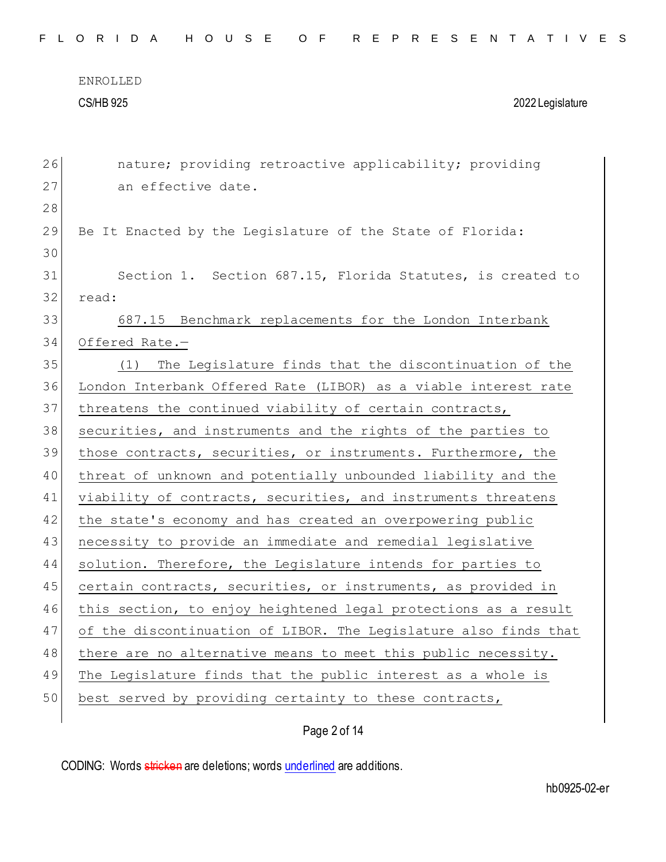## CS/HB 925 2022 Legislature

26 nature; providing retroactive applicability; providing 27 an effective date. 28 29 Be It Enacted by the Legislature of the State of Florida: 30 31 Section 1. Section 687.15, Florida Statutes, is created to 32 read: 33 687.15 Benchmark replacements for the London Interbank 34 Offered Rate.— 35 (1) The Legislature finds that the discontinuation of the 36 London Interbank Offered Rate (LIBOR) as a viable interest rate 37 threatens the continued viability of certain contracts, 38 securities, and instruments and the rights of the parties to 39 those contracts, securities, or instruments. Furthermore, the 40 threat of unknown and potentially unbounded liability and the 41 viability of contracts, securities, and instruments threatens 42 the state's economy and has created an overpowering public 43 necessity to provide an immediate and remedial legislative 44 solution. Therefore, the Legislature intends for parties to 45 certain contracts, securities, or instruments, as provided in 46 this section, to enjoy heightened legal protections as a result 47 of the discontinuation of LIBOR. The Legislature also finds that 48 there are no alternative means to meet this public necessity. 49 The Legislature finds that the public interest as a whole is 50 best served by providing certainty to these contracts,

## Page 2 of 14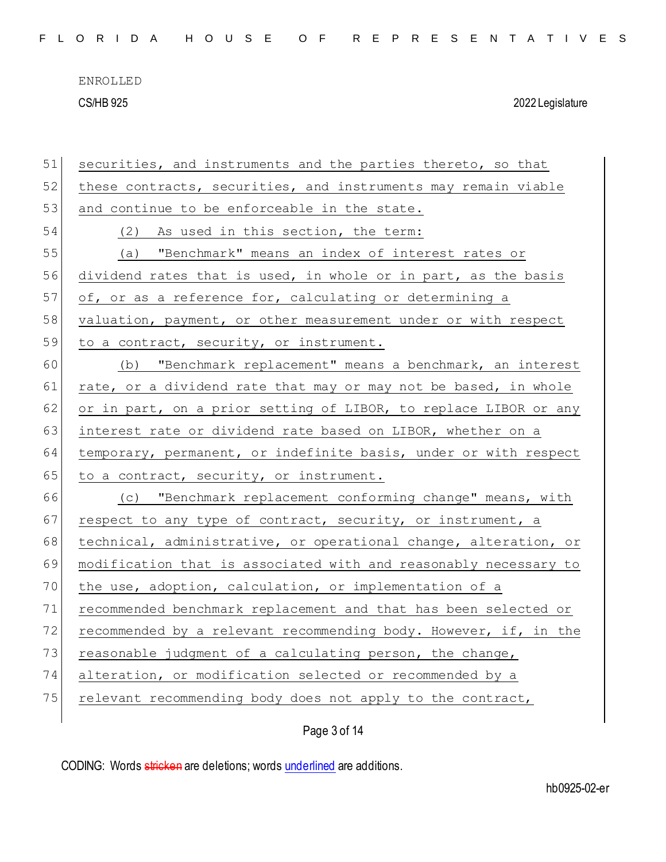CS/HB 925 2022 Legislature

| 51 | securities, and instruments and the parties thereto, so that     |
|----|------------------------------------------------------------------|
| 52 | these contracts, securities, and instruments may remain viable   |
| 53 | and continue to be enforceable in the state.                     |
| 54 | (2) As used in this section, the term:                           |
| 55 | (a) "Benchmark" means an index of interest rates or              |
| 56 | dividend rates that is used, in whole or in part, as the basis   |
| 57 | of, or as a reference for, calculating or determining a          |
| 58 | valuation, payment, or other measurement under or with respect   |
| 59 | to a contract, security, or instrument.                          |
| 60 | (b) "Benchmark replacement" means a benchmark, an interest       |
| 61 | rate, or a dividend rate that may or may not be based, in whole  |
| 62 | or in part, on a prior setting of LIBOR, to replace LIBOR or any |
| 63 | interest rate or dividend rate based on LIBOR, whether on a      |
| 64 | temporary, permanent, or indefinite basis, under or with respect |
| 65 | to a contract, security, or instrument.                          |
| 66 | (c) "Benchmark replacement conforming change" means, with        |
| 67 | respect to any type of contract, security, or instrument, a      |
| 68 | technical, administrative, or operational change, alteration, or |
| 69 | modification that is associated with and reasonably necessary to |
| 70 | the use, adoption, calculation, or implementation of a           |
| 71 | recommended benchmark replacement and that has been selected or  |
| 72 | recommended by a relevant recommending body. However, if, in the |
| 73 | reasonable judgment of a calculating person, the change,         |
| 74 | alteration, or modification selected or recommended by a         |
| 75 | relevant recommending body does not apply to the contract,       |
|    |                                                                  |

Page 3 of 14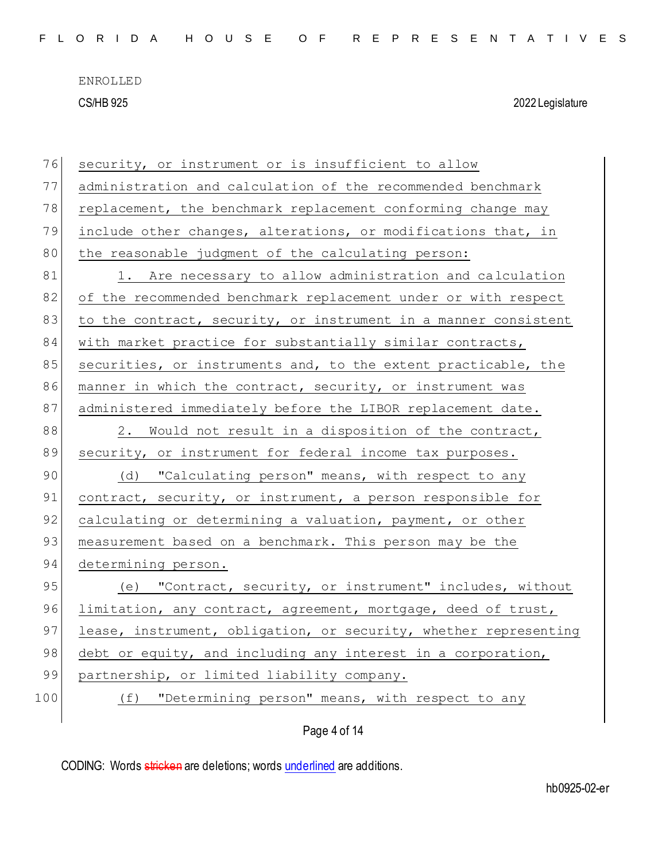CS/HB 925 2022 Legislature

| 76  | security, or instrument or is insufficient to allow              |
|-----|------------------------------------------------------------------|
| 77  | administration and calculation of the recommended benchmark      |
| 78  | replacement, the benchmark replacement conforming change may     |
| 79  | include other changes, alterations, or modifications that, in    |
| 80  | the reasonable judgment of the calculating person:               |
| 81  | 1. Are necessary to allow administration and calculation         |
| 82  | of the recommended benchmark replacement under or with respect   |
| 83  | to the contract, security, or instrument in a manner consistent  |
| 84  | with market practice for substantially similar contracts,        |
| 85  | securities, or instruments and, to the extent practicable, the   |
| 86  | manner in which the contract, security, or instrument was        |
| 87  | administered immediately before the LIBOR replacement date.      |
| 88  | 2. Would not result in a disposition of the contract,            |
| 89  | security, or instrument for federal income tax purposes.         |
| 90  | (d) "Calculating person" means, with respect to any              |
| 91  | contract, security, or instrument, a person responsible for      |
| 92  | calculating or determining a valuation, payment, or other        |
| 93  | measurement based on a benchmark. This person may be the         |
| 94  | determining person.                                              |
| 95  | "Contract, security, or instrument" includes, without<br>(e)     |
| 96  | limitation, any contract, agreement, mortgage, deed of trust,    |
| 97  | lease, instrument, obligation, or security, whether representing |
| 98  | debt or equity, and including any interest in a corporation,     |
| 99  | partnership, or limited liability company.                       |
| 100 | "Determining person" means, with respect to any<br>(f)           |
|     | Page 4 of 14                                                     |
|     |                                                                  |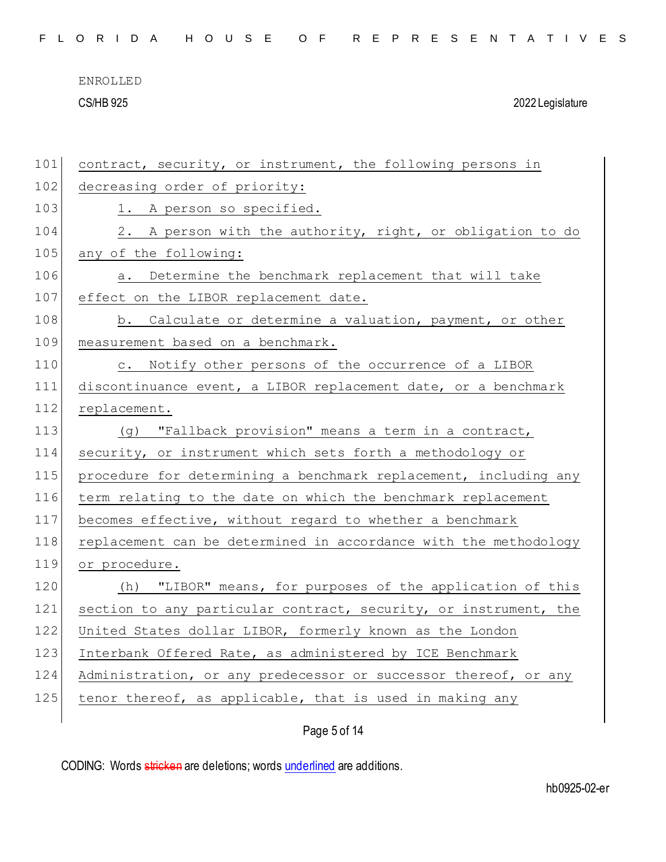|  |  |  |  |  |  |  |  |  |  |  | FLORIDA HOUSE OF REPRESENTATIVES |  |  |  |  |  |  |  |  |  |  |  |  |  |  |  |  |
|--|--|--|--|--|--|--|--|--|--|--|----------------------------------|--|--|--|--|--|--|--|--|--|--|--|--|--|--|--|--|
|--|--|--|--|--|--|--|--|--|--|--|----------------------------------|--|--|--|--|--|--|--|--|--|--|--|--|--|--|--|--|

CS/HB 925 2022 Legislature

| 101 | contract, security, or instrument, the following persons in      |
|-----|------------------------------------------------------------------|
| 102 | decreasing order of priority:                                    |
| 103 | 1. A person so specified.                                        |
| 104 | 2. A person with the authority, right, or obligation to do       |
| 105 | any of the following:                                            |
| 106 | a. Determine the benchmark replacement that will take            |
| 107 | effect on the LIBOR replacement date.                            |
| 108 | b. Calculate or determine a valuation, payment, or other         |
| 109 | measurement based on a benchmark.                                |
| 110 | c. Notify other persons of the occurrence of a LIBOR             |
| 111 | discontinuance event, a LIBOR replacement date, or a benchmark   |
| 112 | replacement.                                                     |
| 113 | (g) "Fallback provision" means a term in a contract,             |
| 114 | security, or instrument which sets forth a methodology or        |
| 115 | procedure for determining a benchmark replacement, including any |
| 116 | term relating to the date on which the benchmark replacement     |
| 117 | becomes effective, without regard to whether a benchmark         |
| 118 | replacement can be determined in accordance with the methodology |
| 119 | or procedure.                                                    |
| 120 | (h) "LIBOR" means, for purposes of the application of this       |
| 121 | section to any particular contract, security, or instrument, the |
| 122 | United States dollar LIBOR, formerly known as the London         |
| 123 | Interbank Offered Rate, as administered by ICE Benchmark         |
| 124 | Administration, or any predecessor or successor thereof, or any  |
| 125 | tenor thereof, as applicable, that is used in making any         |
|     |                                                                  |

Page 5 of 14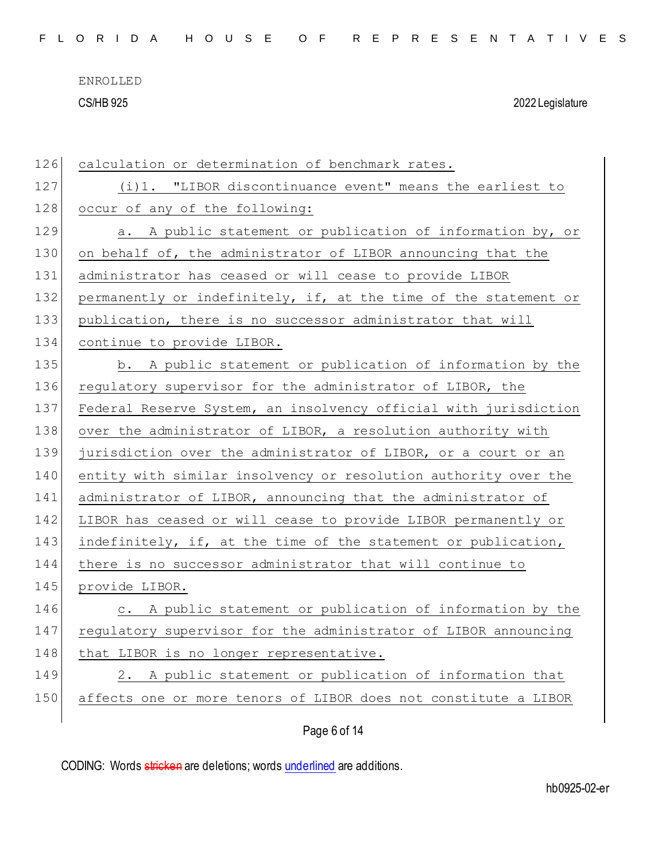CS/HB 925 2022 Legislature

| 126 | calculation or determination of benchmark rates.                 |
|-----|------------------------------------------------------------------|
| 127 | (i)1. "LIBOR discontinuance event" means the earliest to         |
| 128 | occur of any of the following:                                   |
| 129 | a. A public statement or publication of information by, or       |
| 130 | on behalf of, the administrator of LIBOR announcing that the     |
| 131 | administrator has ceased or will cease to provide LIBOR          |
| 132 | permanently or indefinitely, if, at the time of the statement or |
| 133 | publication, there is no successor administrator that will       |
| 134 | continue to provide LIBOR.                                       |
| 135 | b. A public statement or publication of information by the       |
| 136 | regulatory supervisor for the administrator of LIBOR, the        |
| 137 | Federal Reserve System, an insolvency official with jurisdiction |
| 138 | over the administrator of LIBOR, a resolution authority with     |
| 139 | jurisdiction over the administrator of LIBOR, or a court or an   |
| 140 | entity with similar insolvency or resolution authority over the  |
| 141 | administrator of LIBOR, announcing that the administrator of     |
| 142 | LIBOR has ceased or will cease to provide LIBOR permanently or   |
| 143 | indefinitely, if, at the time of the statement or publication,   |
| 144 | there is no successor administrator that will continue to        |
| 145 | provide LIBOR.                                                   |
| 146 | c. A public statement or publication of information by the       |
| 147 | regulatory supervisor for the administrator of LIBOR announcing  |
| 148 | that LIBOR is no longer representative.                          |
| 149 | 2. A public statement or publication of information that         |
| 150 | affects one or more tenors of LIBOR does not constitute a LIBOR  |
|     |                                                                  |

Page 6 of 14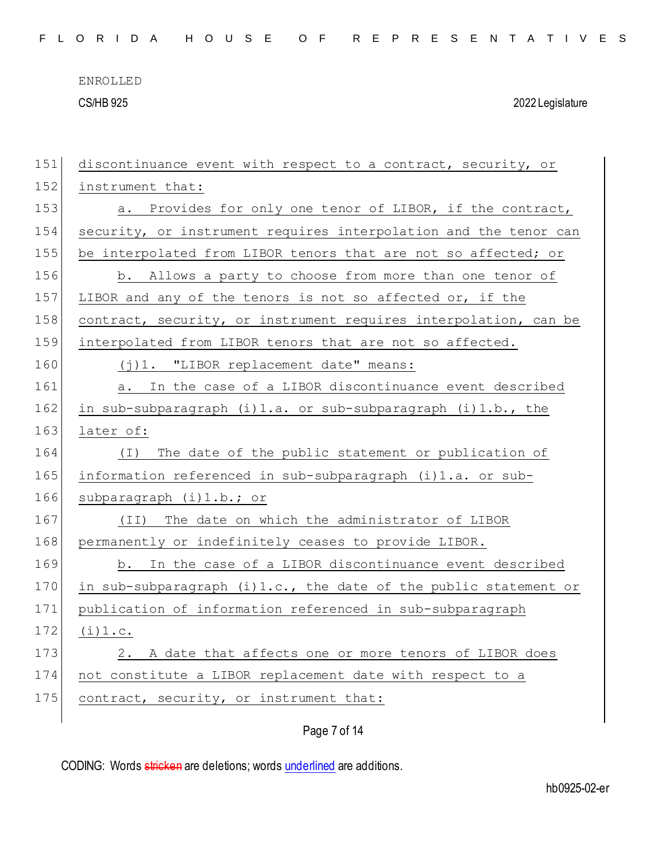CS/HB 925 2022 Legislature

| 151 | discontinuance event with respect to a contract, security, or       |
|-----|---------------------------------------------------------------------|
| 152 | instrument that:                                                    |
| 153 | Provides for only one tenor of LIBOR, if the contract,<br>а.        |
| 154 | security, or instrument requires interpolation and the tenor can    |
| 155 | be interpolated from LIBOR tenors that are not so affected; or      |
| 156 | b. Allows a party to choose from more than one tenor of             |
| 157 | LIBOR and any of the tenors is not so affected or, if the           |
| 158 | contract, security, or instrument requires interpolation, can be    |
| 159 | interpolated from LIBOR tenors that are not so affected.            |
| 160 | (j)1. "LIBOR replacement date" means:                               |
| 161 | In the case of a LIBOR discontinuance event described<br>a.         |
| 162 | in sub-subparagraph (i)1.a. or sub-subparagraph (i)1.b., the        |
| 163 | later of:                                                           |
| 164 | The date of the public statement or publication of<br>( I )         |
| 165 | information referenced in sub-subparagraph (i)1.a. or sub-          |
| 166 | subparagraph (i)1.b.; or                                            |
| 167 | The date on which the administrator of LIBOR<br>(TI)                |
| 168 | permanently or indefinitely ceases to provide LIBOR.                |
| 169 | b. In the case of a LIBOR discontinuance event described            |
| 170 | in sub-subparagraph $(i) 1.c.,$ the date of the public statement or |
| 171 | publication of information referenced in sub-subparagraph           |
| 172 | (i) 1.c.                                                            |
| 173 | A date that affects one or more tenors of LIBOR does<br>2.          |
| 174 | not constitute a LIBOR replacement date with respect to a           |
| 175 | contract, security, or instrument that:                             |
|     | Page 7 of 14                                                        |
|     |                                                                     |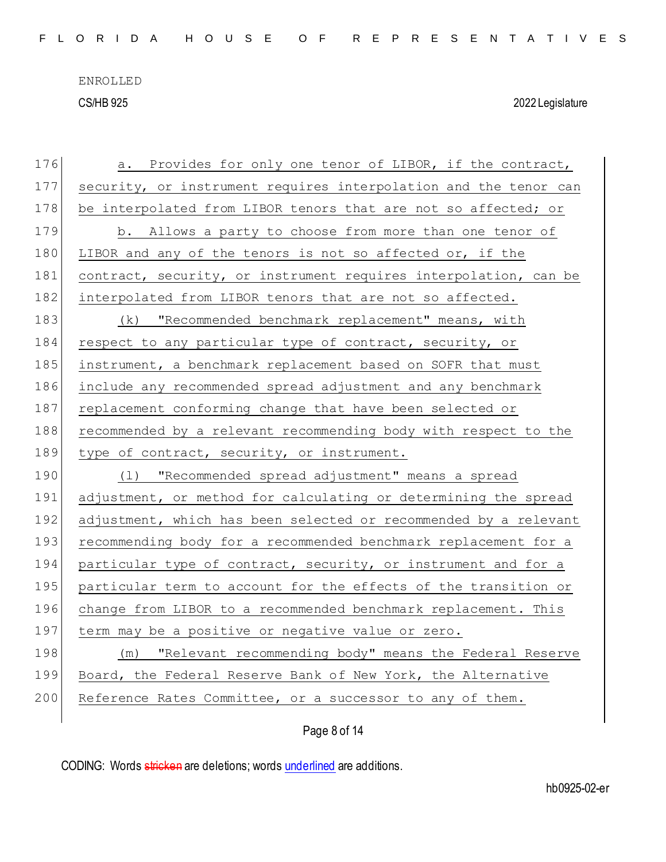CS/HB 925 2022 Legislature

| 176 | a. Provides for only one tenor of LIBOR, if the contract,        |
|-----|------------------------------------------------------------------|
| 177 | security, or instrument requires interpolation and the tenor can |
| 178 | be interpolated from LIBOR tenors that are not so affected; or   |
| 179 | b. Allows a party to choose from more than one tenor of          |
| 180 | LIBOR and any of the tenors is not so affected or, if the        |
| 181 | contract, security, or instrument requires interpolation, can be |
| 182 | interpolated from LIBOR tenors that are not so affected.         |
| 183 | (k) "Recommended benchmark replacement" means, with              |
| 184 | respect to any particular type of contract, security, or         |
| 185 | instrument, a benchmark replacement based on SOFR that must      |
| 186 | include any recommended spread adjustment and any benchmark      |
| 187 | replacement conforming change that have been selected or         |
| 188 | recommended by a relevant recommending body with respect to the  |
|     |                                                                  |
| 189 | type of contract, security, or instrument.                       |
| 190 | "Recommended spread adjustment" means a spread<br>$(\perp)$      |
| 191 | adjustment, or method for calculating or determining the spread  |
| 192 | adjustment, which has been selected or recommended by a relevant |
| 193 | recommending body for a recommended benchmark replacement for a  |
| 194 | particular type of contract, security, or instrument and for a   |
| 195 | particular term to account for the effects of the transition or  |
| 196 | change from LIBOR to a recommended benchmark replacement. This   |
| 197 | term may be a positive or negative value or zero.                |
| 198 | (m) "Relevant recommending body" means the Federal Reserve       |
| 199 | Board, the Federal Reserve Bank of New York, the Alternative     |
| 200 | Reference Rates Committee, or a successor to any of them.        |

Page 8 of 14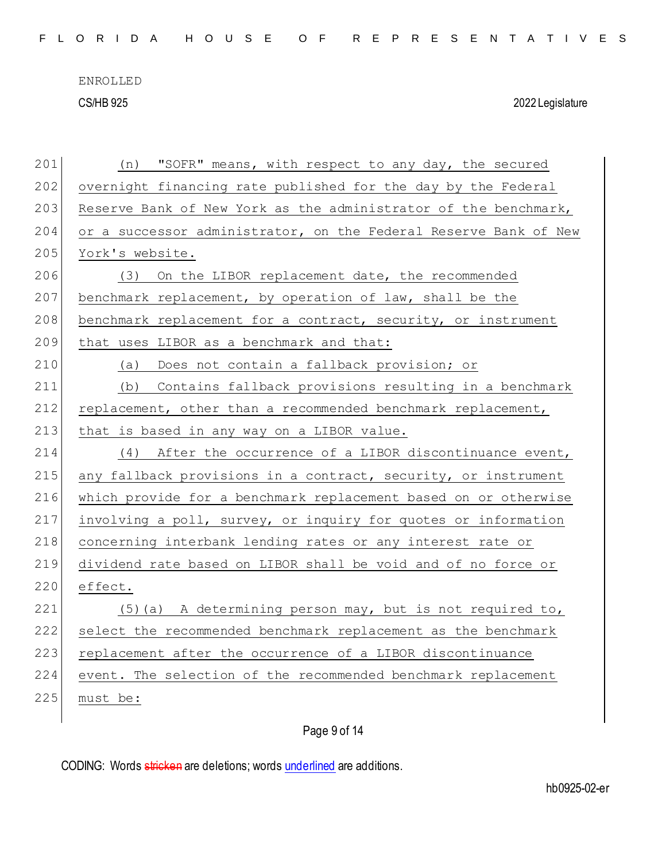CS/HB 925 2022 Legislature

| 201 | "SOFR" means, with respect to any day, the secured<br>(n)        |
|-----|------------------------------------------------------------------|
| 202 | overnight financing rate published for the day by the Federal    |
| 203 | Reserve Bank of New York as the administrator of the benchmark,  |
| 204 | or a successor administrator, on the Federal Reserve Bank of New |
| 205 | York's website.                                                  |
| 206 | (3) On the LIBOR replacement date, the recommended               |
| 207 | benchmark replacement, by operation of law, shall be the         |
| 208 | benchmark replacement for a contract, security, or instrument    |
| 209 | that uses LIBOR as a benchmark and that:                         |
| 210 | (a) Does not contain a fallback provision; or                    |
| 211 | Contains fallback provisions resulting in a benchmark<br>(b)     |
| 212 | replacement, other than a recommended benchmark replacement,     |
| 213 | that is based in any way on a LIBOR value.                       |
| 214 | (4) After the occurrence of a LIBOR discontinuance event,        |
| 215 | any fallback provisions in a contract, security, or instrument   |
| 216 | which provide for a benchmark replacement based on or otherwise  |
| 217 | involving a poll, survey, or inquiry for quotes or information   |
| 218 | concerning interbank lending rates or any interest rate or       |
| 219 | dividend rate based on LIBOR shall be void and of no force or    |
| 220 | effect.                                                          |
| 221 | $(5)$ (a) A determining person may, but is not required to,      |
| 222 | select the recommended benchmark replacement as the benchmark    |
| 223 | replacement after the occurrence of a LIBOR discontinuance       |
| 224 | event. The selection of the recommended benchmark replacement    |
| 225 | must be:                                                         |
|     |                                                                  |

## Page 9 of 14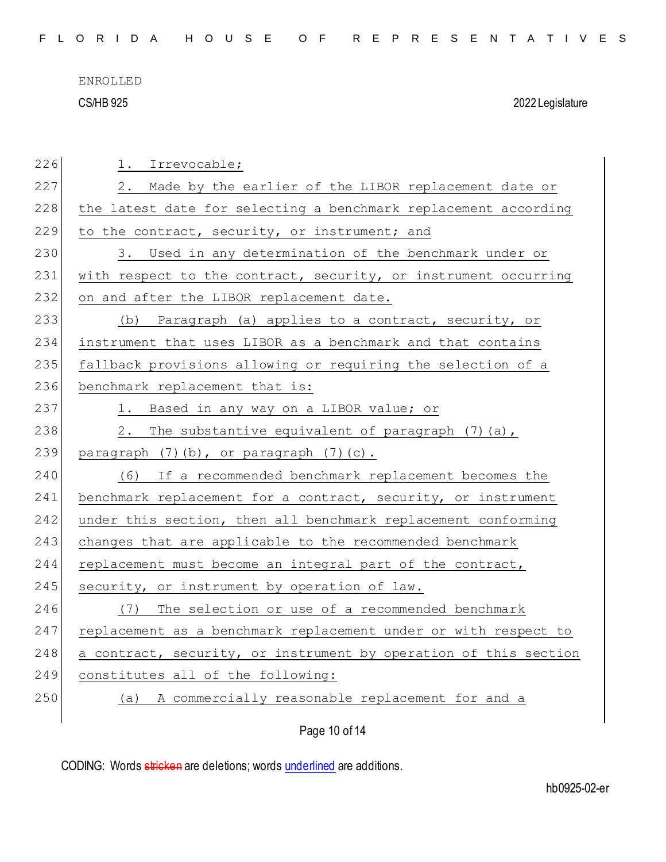CS/HB 925 2022 Legislature

| 226 | 1. Irrevocable;                                                  |
|-----|------------------------------------------------------------------|
| 227 | 2. Made by the earlier of the LIBOR replacement date or          |
| 228 | the latest date for selecting a benchmark replacement according  |
| 229 | to the contract, security, or instrument; and                    |
| 230 | 3. Used in any determination of the benchmark under or           |
| 231 | with respect to the contract, security, or instrument occurring  |
| 232 | on and after the LIBOR replacement date.                         |
| 233 | (b) Paragraph (a) applies to a contract, security, or            |
| 234 | instrument that uses LIBOR as a benchmark and that contains      |
| 235 | fallback provisions allowing or requiring the selection of a     |
| 236 | benchmark replacement that is:                                   |
| 237 | 1. Based in any way on a LIBOR value; or                         |
| 238 | 2. The substantive equivalent of paragraph (7) (a),              |
| 239 | paragraph (7)(b), or paragraph (7)(c).                           |
| 240 | (6) If a recommended benchmark replacement becomes the           |
| 241 | benchmark replacement for a contract, security, or instrument    |
| 242 | under this section, then all benchmark replacement conforming    |
| 243 | changes that are applicable to the recommended benchmark         |
| 244 | replacement must become an integral part of the contract,        |
| 245 | security, or instrument by operation of law.                     |
| 246 | The selection or use of a recommended benchmark<br>(7)           |
| 247 | replacement as a benchmark replacement under or with respect to  |
| 248 | a contract, security, or instrument by operation of this section |
| 249 | constitutes all of the following:                                |
| 250 | A commercially reasonable replacement for and a<br>(a)           |
|     |                                                                  |

Page 10 of 14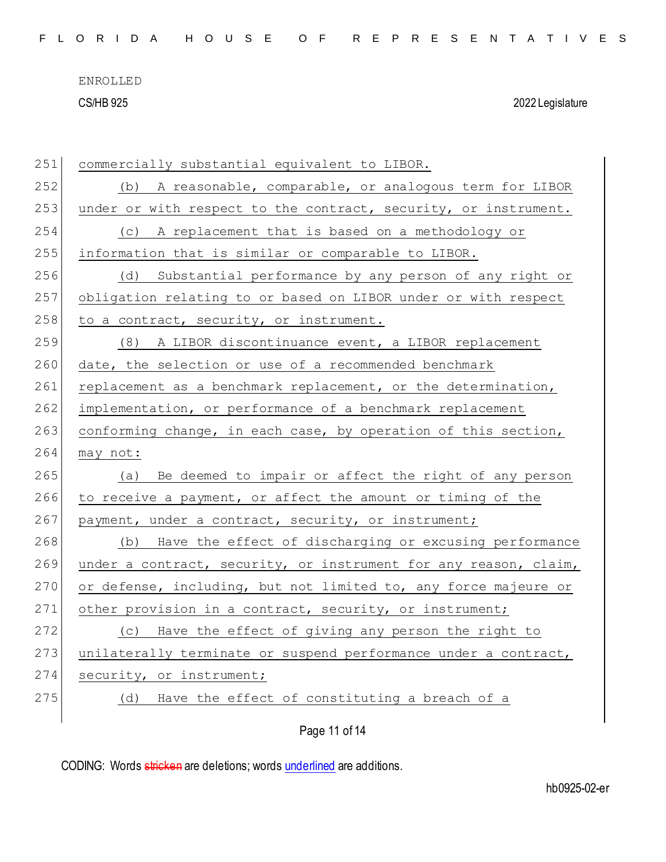|  |  |  |  |  |  |  |  |  |  |  | FLORIDA HOUSE OF REPRESENTATIVES |  |  |  |  |  |  |  |  |  |  |  |  |  |  |  |  |
|--|--|--|--|--|--|--|--|--|--|--|----------------------------------|--|--|--|--|--|--|--|--|--|--|--|--|--|--|--|--|
|--|--|--|--|--|--|--|--|--|--|--|----------------------------------|--|--|--|--|--|--|--|--|--|--|--|--|--|--|--|--|

CS/HB 925 2022 Legislature

| 251 | commercially substantial equivalent to LIBOR.                    |
|-----|------------------------------------------------------------------|
| 252 | (b) A reasonable, comparable, or analogous term for LIBOR        |
| 253 | under or with respect to the contract, security, or instrument.  |
| 254 | A replacement that is based on a methodology or<br>(C)           |
| 255 | information that is similar or comparable to LIBOR.              |
| 256 | (d)<br>Substantial performance by any person of any right or     |
| 257 | obligation relating to or based on LIBOR under or with respect   |
| 258 | to a contract, security, or instrument.                          |
| 259 | (8) A LIBOR discontinuance event, a LIBOR replacement            |
| 260 | date, the selection or use of a recommended benchmark            |
| 261 | replacement as a benchmark replacement, or the determination,    |
| 262 | implementation, or performance of a benchmark replacement        |
| 263 | conforming change, in each case, by operation of this section,   |
| 264 | may not:                                                         |
| 265 | Be deemed to impair or affect the right of any person<br>(a)     |
| 266 | to receive a payment, or affect the amount or timing of the      |
| 267 | payment, under a contract, security, or instrument;              |
| 268 | (b) Have the effect of discharging or excusing performance       |
| 269 | under a contract, security, or instrument for any reason, claim, |
| 270 | or defense, including, but not limited to, any force majeure or  |
| 271 | other provision in a contract, security, or instrument;          |
| 272 | (c) Have the effect of giving any person the right to            |
| 273 | unilaterally terminate or suspend performance under a contract,  |
| 274 | security, or instrument;                                         |
| 275 | Have the effect of constituting a breach of a<br>(d)             |
|     | Page 11 of 14                                                    |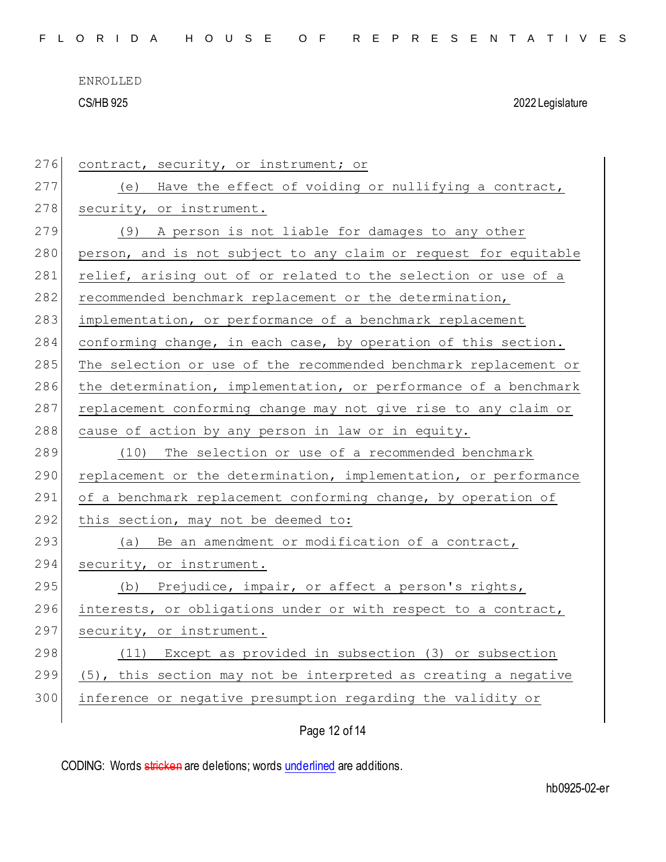CS/HB 925 2022 Legislature

| 276 | contract, security, or instrument; or                            |
|-----|------------------------------------------------------------------|
| 277 | Have the effect of voiding or nullifying a contract,<br>(e)      |
| 278 | security, or instrument.                                         |
| 279 | (9) A person is not liable for damages to any other              |
| 280 | person, and is not subject to any claim or request for equitable |
| 281 | relief, arising out of or related to the selection or use of a   |
| 282 | recommended benchmark replacement or the determination,          |
| 283 | implementation, or performance of a benchmark replacement        |
| 284 | conforming change, in each case, by operation of this section.   |
| 285 | The selection or use of the recommended benchmark replacement or |
| 286 | the determination, implementation, or performance of a benchmark |
| 287 | replacement conforming change may not give rise to any claim or  |
| 288 | cause of action by any person in law or in equity.               |
| 289 | (10) The selection or use of a recommended benchmark             |
| 290 | replacement or the determination, implementation, or performance |
| 291 | of a benchmark replacement conforming change, by operation of    |
| 292 | this section, may not be deemed to:                              |
| 293 | Be an amendment or modification of a contract,<br>(a)            |
| 294 | security, or instrument.                                         |
| 295 | (b) Prejudice, impair, or affect a person's rights,              |
| 296 | interests, or obligations under or with respect to a contract,   |
| 297 | security, or instrument.                                         |
| 298 | Except as provided in subsection (3) or subsection<br>(11)       |
| 299 | (5), this section may not be interpreted as creating a negative  |
| 300 | inference or negative presumption regarding the validity or      |
|     |                                                                  |

Page 12 of 14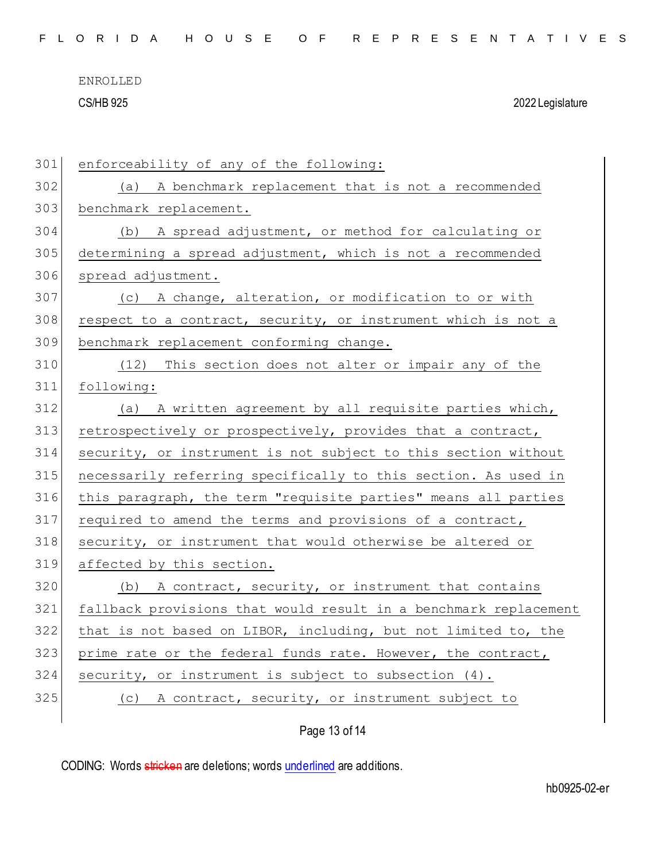CS/HB 925 2022 Legislature

| 301 | enforceability of any of the following:                          |
|-----|------------------------------------------------------------------|
| 302 | A benchmark replacement that is not a recommended<br>(a)         |
| 303 | benchmark replacement.                                           |
| 304 | (b) A spread adjustment, or method for calculating or            |
| 305 | determining a spread adjustment, which is not a recommended      |
| 306 | spread adjustment.                                               |
| 307 | (c) A change, alteration, or modification to or with             |
| 308 | respect to a contract, security, or instrument which is not a    |
| 309 | benchmark replacement conforming change.                         |
| 310 | (12) This section does not alter or impair any of the            |
| 311 | following:                                                       |
| 312 | (a) A written agreement by all requisite parties which,          |
| 313 | retrospectively or prospectively, provides that a contract,      |
| 314 | security, or instrument is not subject to this section without   |
| 315 | necessarily referring specifically to this section. As used in   |
| 316 | this paragraph, the term "requisite parties" means all parties   |
| 317 | required to amend the terms and provisions of a contract,        |
| 318 | security, or instrument that would otherwise be altered or       |
| 319 | affected by this section.                                        |
| 320 | (b) A contract, security, or instrument that contains            |
| 321 | fallback provisions that would result in a benchmark replacement |
| 322 | that is not based on LIBOR, including, but not limited to, the   |
| 323 | prime rate or the federal funds rate. However, the contract,     |
| 324 | security, or instrument is subject to subsection (4).            |
| 325 | A contract, security, or instrument subject to<br>(C)            |
|     |                                                                  |

Page 13 of 14